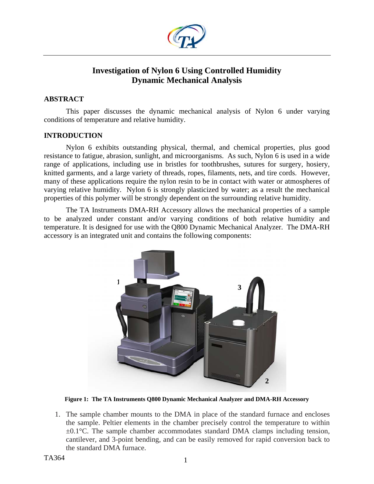

# **Investigation of Nylon 6 Using Controlled Humidity Dynamic Mechanical Analysis**

## **ABSTRACT**

This paper discusses the dynamic mechanical analysis of Nylon 6 under varying conditions of temperature and relative humidity.

### **INTRODUCTION**

Nylon 6 exhibits outstanding physical, thermal, and chemical properties, plus good resistance to fatigue, abrasion, sunlight, and microorganisms. As such, Nylon 6 is used in a wide range of applications, including use in bristles for toothbrushes, sutures for surgery, hosiery, knitted garments, and a large variety of threads, ropes, filaments, nets, and tire cords. However, many of these applications require the nylon resin to be in contact with water or atmospheres of varying relative humidity. Nylon 6 is strongly plasticized by water; as a result the mechanical properties of this polymer will be strongly dependent on the surrounding relative humidity.

The TA Instruments DMA-RH Accessory allows the mechanical properties of a sample to be analyzed under constant and/or varying conditions of both relative humidity and temperature. It is designed for use with the Q800 Dynamic Mechanical Analyzer. The DMA-RH accessory is an integrated unit and contains the following components:



**Figure 1: The TA Instruments Q800 Dynamic Mechanical Analyzer and DMA-RH Accessory** 

1. The sample chamber mounts to the DMA in place of the standard furnace and encloses the sample. Peltier elements in the chamber precisely control the temperature to within  $\pm 0.1^{\circ}$ C. The sample chamber accommodates standard DMA clamps including tension, cantilever, and 3-point bending, and can be easily removed for rapid conversion back to the standard DMA furnace.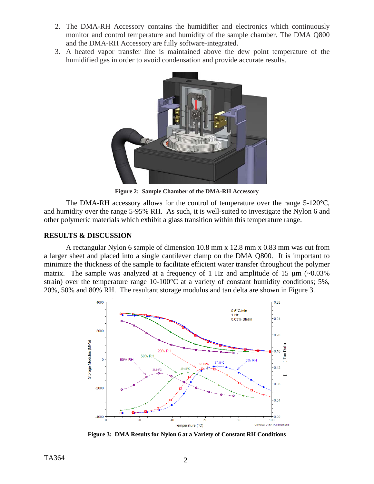- 2. The DMA-RH Accessory contains the humidifier and electronics which continuously monitor and control temperature and humidity of the sample chamber. The DMA Q800 and the DMA-RH Accessory are fully software-integrated.
- 3. A heated vapor transfer line is maintained above the dew point temperature of the humidified gas in order to avoid condensation and provide accurate results.



**Figure 2: Sample Chamber of the DMA-RH Accessory**

The DMA-RH accessory allows for the control of temperature over the range  $5-120^{\circ}C$ , and humidity over the range 5-95% RH. As such, it is well-suited to investigate the Nylon 6 and other polymeric materials which exhibit a glass transition within this temperature range.

## **RESULTS & DISCUSSION**

A rectangular Nylon 6 sample of dimension 10.8 mm x 12.8 mm x 0.83 mm was cut from a larger sheet and placed into a single cantilever clamp on the DMA Q800. It is important to minimize the thickness of the sample to facilitate efficient water transfer throughout the polymer matrix. The sample was analyzed at a frequency of 1 Hz and amplitude of 15  $\mu$ m (~0.03%) strain) over the temperature range 10-100°C at a variety of constant humidity conditions; 5%, 20%, 50% and 80% RH. The resultant storage modulus and tan delta are shown in Figure 3.



**Figure 3: DMA Results for Nylon 6 at a Variety of Constant RH Conditions**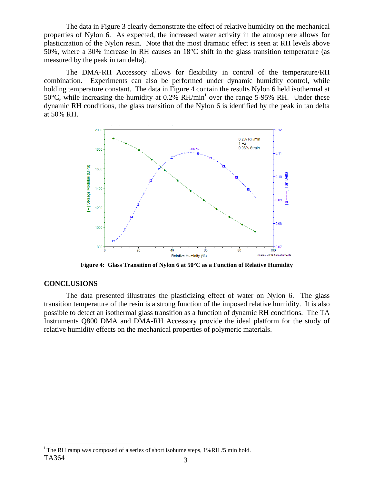The data in Figure 3 clearly demonstrate the effect of relative humidity on the mechanical properties of Nylon 6. As expected, the increased water activity in the atmosphere allows for plasticization of the Nylon resin. Note that the most dramatic effect is seen at RH levels above 50%, where a 30% increase in RH causes an 18°C shift in the glass transition temperature (as measured by the peak in tan delta).

The DMA-RH Accessory allows for flexibility in control of the temperature/RH combination. Experiments can also be performed under dynamic humidity control, while holding temperature constant. The data in Figure 4 contain the results Nylon 6 held isothermal at 50°C, wh[i](#page-2-0)le increasing the humidity at  $0.2\%$  RH/min<sup>i</sup> over the range 5-95% RH. Under these dynamic RH conditions, the glass transition of the Nylon 6 is identified by the peak in tan delta at 50% RH.



**Figure 4: Glass Transition of Nylon 6 at 50°C as a Function of Relative Humidity** 

### **CONCLUSIONS**

1

The data presented illustrates the plasticizing effect of water on Nylon 6. The glass transition temperature of the resin is a strong function of the imposed relative humidity. It is also possible to detect an isothermal glass transition as a function of dynamic RH conditions. The TA Instruments Q800 DMA and DMA-RH Accessory provide the ideal platform for the study of relative humidity effects on the mechanical properties of polymeric materials.

<span id="page-2-0"></span> $TA364$  3 <sup>i</sup> The RH ramp was composed of a series of short isohume steps, 1%RH /5 min hold.